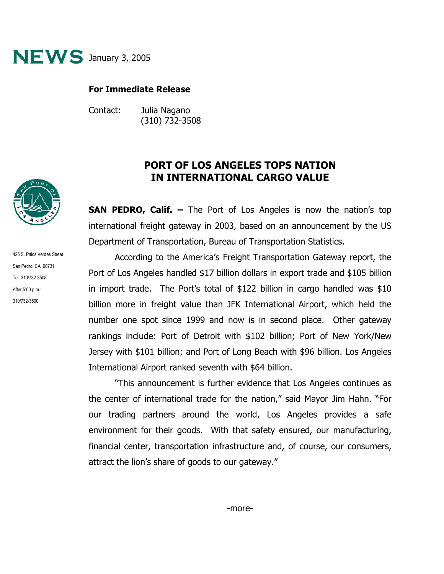

## **For Immediate Release**

Contact: Julia Nagano (310) 732-3508

## **PORT OF LOS ANGELES TOPS NATION IN INTERNATIONAL CARGO VALUE**

**SAN PEDRO, Calif. –** The Port of Los Angeles is now the nation's top international freight gateway in 2003, based on an announcement by the US Department of Transportation, Bureau of Transportation Statistics.

According to the America's Freight Transportation Gateway report, the Port of Los Angeles handled \$17 billion dollars in export trade and \$105 billion in import trade. The Port's total of \$122 billion in cargo handled was \$10 billion more in freight value than JFK International Airport, which held the number one spot since 1999 and now is in second place. Other gateway rankings include: Port of Detroit with \$102 billion; Port of New York/New Jersey with \$101 billion; and Port of Long Beach with \$96 billion. Los Angeles International Airport ranked seventh with \$64 billion.

"This announcement is further evidence that Los Angeles continues as the center of international trade for the nation," said Mayor Jim Hahn. "For our trading partners around the world, Los Angeles provides a safe environment for their goods. With that safety ensured, our manufacturing, financial center, transportation infrastructure and, of course, our consumers, attract the lion's share of goods to our gateway."



425 S. Palos Verdes Street San Pedro, CA 90731 Tel: 310/732-3508 After 5:00 p.m.: 310/732-3500